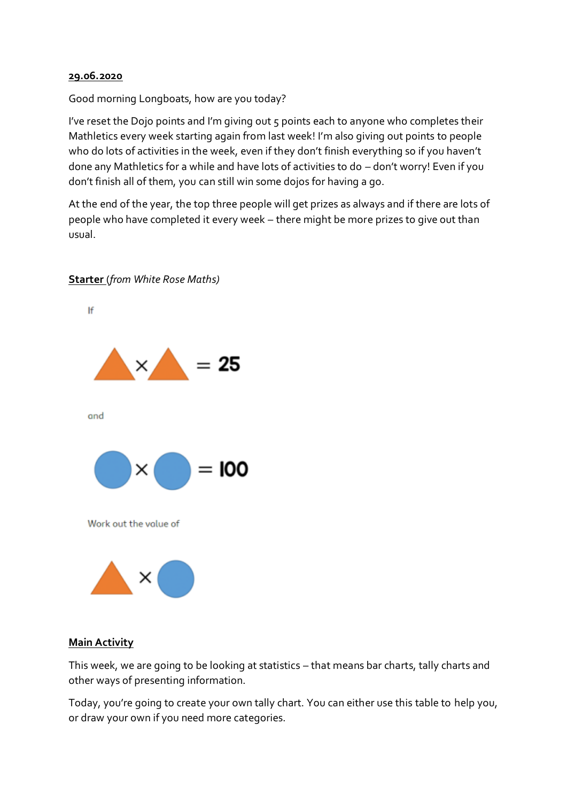## **29.06.2020**

Good morning Longboats, how are you today?

I've reset the Dojo points and I'm giving out 5 points each to anyone who completes their Mathletics every week starting again from last week! I'm also giving out points to people who do lots of activities in the week, even if they don't finish everything so if you haven't done any Mathletics for a while and have lots of activities to do – don't worry! Even if you don't finish all of them, you can still win some dojos for having a go.

At the end of the year, the top three people will get prizes as always and if there are lots of people who have completed it every week – there might be more prizes to give out than usual.



## **Starter** (*from White Rose Maths)*

## **Main Activity**

This week, we are going to be looking at statistics – that means bar charts, tally charts and other ways of presenting information.

Today, you're going to create your own tally chart. You can either use this table to help you, or draw your own if you need more categories.